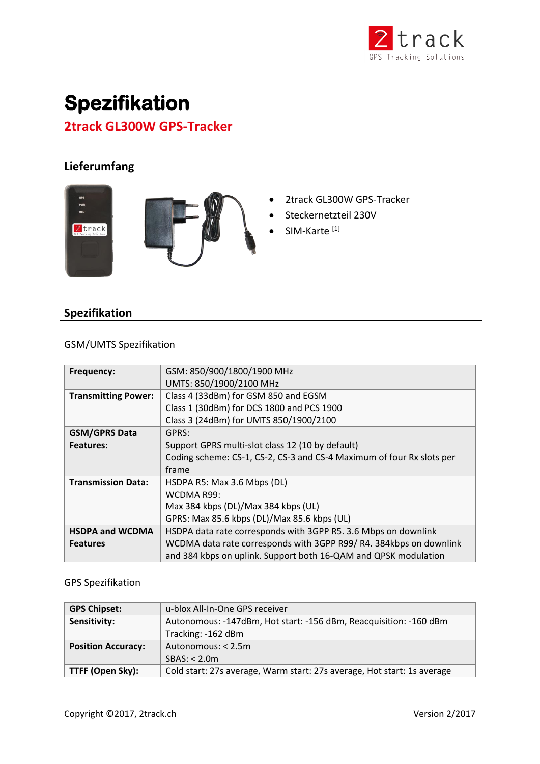

# **Spezifikation 2track GL300W GPS-Tracker**

# **Lieferumfang**





- 2track GL300W GPS-Tracker
- Steckernetzteil 230V
- SIM-Karte<sup>[1]</sup>

## **Spezifikation**

### GSM/UMTS Spezifikation

| Frequency:                 | GSM: 850/900/1800/1900 MHz                                            |
|----------------------------|-----------------------------------------------------------------------|
|                            | UMTS: 850/1900/2100 MHz                                               |
| <b>Transmitting Power:</b> | Class 4 (33dBm) for GSM 850 and EGSM                                  |
|                            | Class 1 (30dBm) for DCS 1800 and PCS 1900                             |
|                            | Class 3 (24dBm) for UMTS 850/1900/2100                                |
| <b>GSM/GPRS Data</b>       | GPRS:                                                                 |
| <b>Features:</b>           | Support GPRS multi-slot class 12 (10 by default)                      |
|                            | Coding scheme: CS-1, CS-2, CS-3 and CS-4 Maximum of four Rx slots per |
|                            | frame                                                                 |
| <b>Transmission Data:</b>  | HSDPA R5: Max 3.6 Mbps (DL)                                           |
|                            | WCDMA R99:                                                            |
|                            | Max 384 kbps (DL)/Max 384 kbps (UL)                                   |
|                            | GPRS: Max 85.6 kbps (DL)/Max 85.6 kbps (UL)                           |
| <b>HSDPA and WCDMA</b>     | HSDPA data rate corresponds with 3GPP R5. 3.6 Mbps on downlink        |
| <b>Features</b>            | WCDMA data rate corresponds with 3GPP R99/R4. 384kbps on downlink     |
|                            | and 384 kbps on uplink. Support both 16-QAM and QPSK modulation       |

#### GPS Spezifikation

| <b>GPS Chipset:</b>       | u-blox All-In-One GPS receiver                                          |
|---------------------------|-------------------------------------------------------------------------|
| Sensitivity:              | Autonomous: -147dBm, Hot start: -156 dBm, Reacquisition: -160 dBm       |
|                           | Tracking: -162 dBm                                                      |
| <b>Position Accuracy:</b> | Autonomous: < 2.5m                                                      |
|                           | SBAS: < 2.0m                                                            |
| TTFF (Open Sky):          | Cold start: 27s average, Warm start: 27s average, Hot start: 1s average |